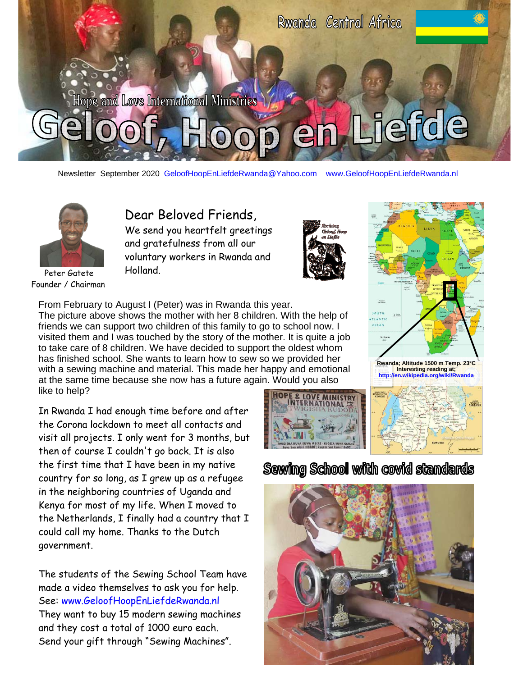

Newsletter September 2020 GeloofHoopEnLiefdeRwanda@Yahoo.com www.GeloofHoopEnLiefdeRwanda.nl



Peter Gatete Founder / Chairman

## Dear Beloved Friends,

We send you heartfelt greetings and gratefulness from all our voluntary workers in Rwanda and Holland.



 like to help? From February to August I (Peter) was in Rwanda this year. The picture above shows the mother with her 8 children. With the help of friends we can support two children of this family to go to school now. I visited them and I was touched by the story of the mother. It is quite a job to take care of 8 children. We have decided to support the oldest whom has finished school. She wants to learn how to sew so we provided her with a sewing machine and material. This made her happy and emotional at the same time because she now has a future again. Would you also

In Rwanda I had enough time before and after the Corona lockdown to meet all contacts and visit all projects. I only went for 3 months, but then of course I couldn't go back. It is also the first time that I have been in my native country for so long, as I grew up as a refugee in the neighboring countries of Uganda and Kenya for most of my life. When I moved to the Netherlands, I finally had a country that I could call my home. Thanks to the Dutch government.

The students of the Sewing School Team have made a video themselves to ask you for help. See: www.GeloofHoopEnLiefdeRwanda.nl They want to buy 15 modern sewing machines and they cost a total of 1000 euro each. Send your gift through "Sewing Machines".





## Sewing School with covid standards